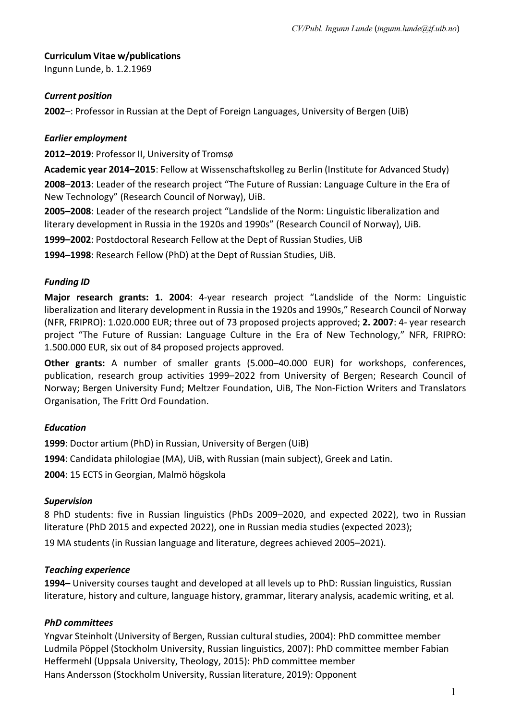# **Curriculum Vitae w/publications**

Ingunn Lunde, b. 1.2.1969

## *Current position*

**2002**–: Professor in Russian at the Dept of Foreign Languages, University of Bergen (UiB)

# *Earlier employment*

**2012–2019**: Professor II, University of Tromsø

**Academic year 2014–2015**: Fellow at Wissenschaftskolleg zu Berlin (Institute for Advanced Study) **2008**–**2013**: Leader of the research project "The Future of Russian: Language Culture in the Era of New Technology" (Research Council of Norway), UiB.

**2005–2008**: Leader of the research project "Landslide of the Norm: Linguistic liberalization and literary development in Russia in the 1920s and 1990s" (Research Council of Norway), UiB.

**1999–2002**: Postdoctoral Research Fellow at the Dept of Russian Studies, UiB

**1994–1998**: Research Fellow (PhD) at the Dept of Russian Studies, UiB.

# *Funding ID*

**Major research grants: 1. 2004**: 4-year research project "Landslide of the Norm: Linguistic liberalization and literary development in Russia in the 1920s and 1990s," Research Council of Norway (NFR, FRIPRO): 1.020.000 EUR; three out of 73 proposed projects approved; **2. 2007**: 4- year research project "The Future of Russian: Language Culture in the Era of New Technology," NFR, FRIPRO: 1.500.000 EUR, six out of 84 proposed projects approved.

**Other grants:** A number of smaller grants (5.000–40.000 EUR) for workshops, conferences, publication, research group activities 1999–2022 from University of Bergen; Research Council of Norway; Bergen University Fund; Meltzer Foundation, UiB, The Non-Fiction Writers and Translators Organisation, The Fritt Ord Foundation.

### *Education*

**1999**: Doctor artium (PhD) in Russian, University of Bergen (UiB)

**1994**: Candidata philologiae (MA), UiB, with Russian (main subject), Greek and Latin.

**2004**: 15 ECTS in Georgian, Malmö högskola

### *Supervision*

8 PhD students: five in Russian linguistics (PhDs 2009–2020, and expected 2022), two in Russian literature (PhD 2015 and expected 2022), one in Russian media studies (expected 2023);

19 MA students (in Russian language and literature, degrees achieved 2005–2021).

### *Teaching experience*

**1994–** University courses taught and developed at all levels up to PhD: Russian linguistics, Russian literature, history and culture, language history, grammar, literary analysis, academic writing, et al.

### *PhD committees*

Yngvar Steinholt (University of Bergen, Russian cultural studies, 2004): PhD committee member Ludmila Pöppel (Stockholm University, Russian linguistics, 2007): PhD committee member Fabian Heffermehl (Uppsala University, Theology, 2015): PhD committee member Hans Andersson (Stockholm University, Russian literature, 2019): Opponent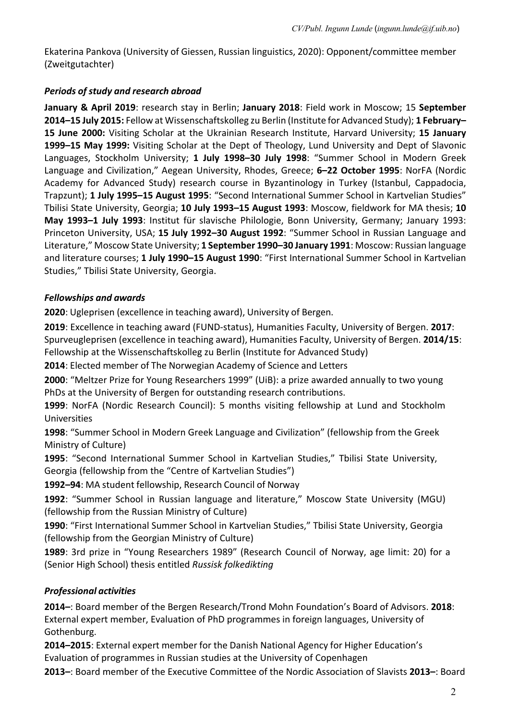Ekaterina Pankova (University of Giessen, Russian linguistics, 2020): Opponent/committee member (Zweitgutachter)

## *Periods of study and research abroad*

**January & April 2019**: research stay in Berlin; **January 2018**: Field work in Moscow; 15 **September 2014–15 July 2015:** Fellow at Wissenschaftskolleg zu Berlin (Institute for Advanced Study); **1 February– 15 June 2000:** Visiting Scholar at the Ukrainian Research Institute, Harvard University; **15 January 1999–15 May 1999:** Visiting Scholar at the Dept of Theology, Lund University and Dept of Slavonic Languages, Stockholm University; **1 July 1998–30 July 1998**: "Summer School in Modern Greek Language and Civilization," Aegean University, Rhodes, Greece; **6–22 October 1995**: NorFA (Nordic Academy for Advanced Study) research course in Byzantinology in Turkey (Istanbul, Cappadocia, Trapzunt); **1 July 1995–15 August 1995**: "Second International Summer School in Kartvelian Studies" Tbilisi State University, Georgia; **10 July 1993–15 August 1993**: Moscow, fieldwork for MA thesis; **10 May 1993–1 July 1993**: Institut für slavische Philologie, Bonn University, Germany; January 1993: Princeton University, USA; **15 July 1992–30 August 1992**: "Summer School in Russian Language and Literature," Moscow State University; **1 September 1990–30 January 1991**: Moscow: Russian language and literature courses; **1 July 1990–15 August 1990**: "First International Summer School in Kartvelian Studies," Tbilisi State University, Georgia.

### *Fellowships and awards*

**2020**: Ugleprisen (excellence in teaching award), University of Bergen.

**2019**: Excellence in teaching award (FUND-status), Humanities Faculty, University of Bergen. **2017**: Spurveugleprisen (excellence in teaching award), Humanities Faculty, University of Bergen. **2014/15**: Fellowship at the Wissenschaftskolleg zu Berlin (Institute for Advanced Study)

**2014**: Elected member of The Norwegian Academy of Science and Letters

**2000**: "Meltzer Prize for Young Researchers 1999" (UiB): a prize awarded annually to two young PhDs at the University of Bergen for outstanding research contributions.

**1999**: NorFA (Nordic Research Council): 5 months visiting fellowship at Lund and Stockholm Universities

**1998**: "Summer School in Modern Greek Language and Civilization" (fellowship from the Greek Ministry of Culture)

**1995**: "Second International Summer School in Kartvelian Studies," Tbilisi State University, Georgia (fellowship from the "Centre of Kartvelian Studies")

**1992–94**: MA student fellowship, Research Council of Norway

**1992**: "Summer School in Russian language and literature," Moscow State University (MGU) (fellowship from the Russian Ministry of Culture)

**1990**: "First International Summer School in Kartvelian Studies," Tbilisi State University, Georgia (fellowship from the Georgian Ministry of Culture)

**1989**: 3rd prize in "Young Researchers 1989" (Research Council of Norway, age limit: 20) for a (Senior High School) thesis entitled *Russisk folkedikting*

# *Professional activities*

**2014–**: Board member of the Bergen Research/Trond Mohn Foundation's Board of Advisors. **2018**: External expert member, Evaluation of PhD programmes in foreign languages, University of Gothenburg.

**2014–2015**: External expert member for the Danish National Agency for Higher Education's Evaluation of programmes in Russian studies at the University of Copenhagen

**2013–**: Board member of the Executive Committee of the Nordic Association of Slavists **2013–**: Board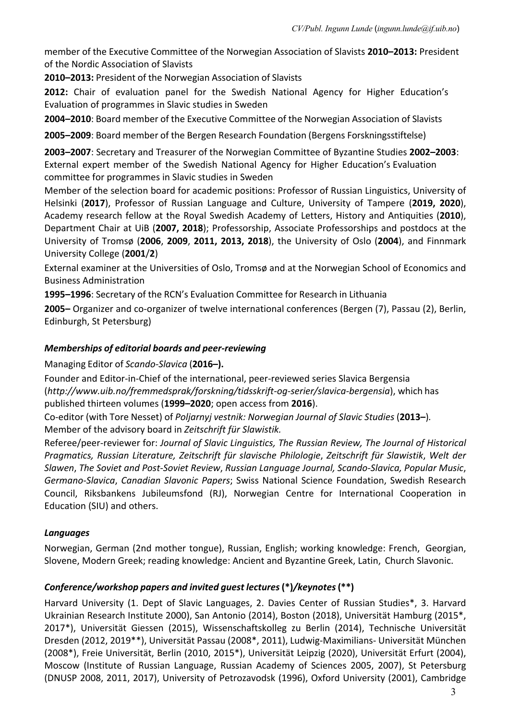member of the Executive Committee of the Norwegian Association of Slavists **2010–2013:** President of the Nordic Association of Slavists

**2010–2013:** President of the Norwegian Association of Slavists

**2012:** Chair of evaluation panel for the Swedish National Agency for Higher Education's Evaluation of programmes in Slavic studies in Sweden

**2004–2010**: Board member of the Executive Committee of the Norwegian Association of Slavists

**2005–2009**: Board member of the Bergen Research Foundation (Bergens Forskningsstiftelse)

**2003–2007**: Secretary and Treasurer of the Norwegian Committee of Byzantine Studies **2002–2003**: External expert member of the Swedish National Agency for Higher Education's Evaluation committee for programmes in Slavic studies in Sweden

Member of the selection board for academic positions: Professor of Russian Linguistics, University of Helsinki (**2017**), Professor of Russian Language and Culture, University of Tampere (**2019, 2020**), Academy research fellow at the Royal Swedish Academy of Letters, History and Antiquities (**2010**), Department Chair at UiB (**2007, 2018**); Professorship, Associate Professorships and postdocs at the University of Tromsø (**2006**, **2009**, **2011, 2013, 2018**), the University of Oslo (**2004**), and Finnmark University College (**2001**/**2**)

External examiner at the Universities of Oslo, Tromsø and at the Norwegian School of Economics and Business Administration

**1995–1996**: Secretary of the RCN's Evaluation Committee for Research in Lithuania

**2005–** Organizer and co-organizer of twelve international conferences (Bergen (7), Passau (2), Berlin, Edinburgh, St Petersburg)

#### *Memberships of editorial boards and peer-reviewing*

Managing Editor of *Scando-Slavica* (**2016–).**

Founder and Editor-in-Chief of the international, peer-reviewed series Slavica Bergensia (*http://www.uib.no/fremmedsprak/forskning/tidsskrift-og-serier/slavica-bergensia*), which has published thirteen volumes (**1999–2020**; open access from **2016**).

Co-editor (with Tore Nesset) of *Poljarnyj vestnik: Norwegian Journal of Slavic Studies* (**2013–**)*.*  Member of the advisory board in *Zeitschrift für Slawistik.*

Referee/peer-reviewer for: *Journal of Slavic Linguistics, The Russian Review, The Journal of Historical Pragmatics, Russian Literature, Zeitschrift für slavische Philologie*, *Zeitschrift für Slawistik*, *Welt der Slawen*, *The Soviet and Post-Soviet Review*, *Russian Language Journal, Scando-Slavica, Popular Music*, *Germano-Slavica*, *Canadian Slavonic Papers*; Swiss National Science Foundation, Swedish Research Council, Riksbankens Jubileumsfond (RJ), Norwegian Centre for International Cooperation in Education (SIU) and others.

### *Languages*

Norwegian, German (2nd mother tongue), Russian, English; working knowledge: French, Georgian, Slovene, Modern Greek; reading knowledge: Ancient and Byzantine Greek, Latin, Church Slavonic.

### *Conference/workshop papers and invited guest lectures***(\*)***/keynotes***(\*\*)**

Harvard University (1. Dept of Slavic Languages, 2. Davies Center of Russian Studies\*, 3. Harvard Ukrainian Research Institute 2000), San Antonio (2014), Boston (2018), Universität Hamburg (2015\*, 2017\*), Universität Giessen (2015), Wissenschaftskolleg zu Berlin (2014), Technische Universität Dresden (2012, 2019\*\*), Universität Passau (2008\*, 2011), Ludwig-Maximilians- Universität München (2008\*), Freie Universität, Berlin (2010, 2015\*), Universität Leipzig (2020), Universität Erfurt (2004), Moscow (Institute of Russian Language, Russian Academy of Sciences 2005, 2007), St Petersburg (DNUSP 2008, 2011, 2017), University of Petrozavodsk (1996), Oxford University (2001), Cambridge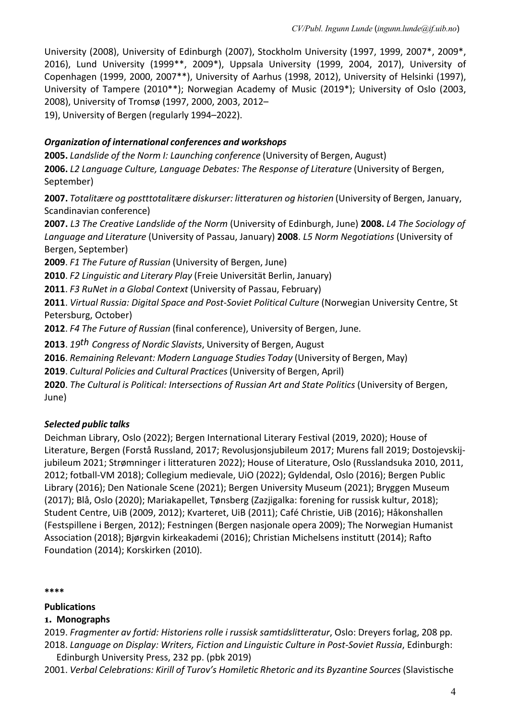University (2008), University of Edinburgh (2007), Stockholm University (1997, 1999, 2007\*, 2009\*, 2016), Lund University (1999\*\*, 2009\*), Uppsala University (1999, 2004, 2017), University of Copenhagen (1999, 2000, 2007\*\*), University of Aarhus (1998, 2012), University of Helsinki (1997), University of Tampere (2010\*\*); Norwegian Academy of Music (2019\*); University of Oslo (2003, 2008), University of Tromsø (1997, 2000, 2003, 2012–

19), University of Bergen (regularly 1994–2022).

# *Organization of international conferences and workshops*

**2005.** *Landslide of the Norm I: Launching conference* (University of Bergen, August) **2006.** *L2 Language Culture, Language Debates: The Response of Literature* (University of Bergen, September)

**2007.** *Totalitære og postttotalitære diskurser: litteraturen og historien* (University of Bergen, January, Scandinavian conference)

**2007.** *L3 The Creative Landslide of the Norm* (University of Edinburgh, June) **2008.** *L4 The Sociology of Language and Literature* (University of Passau, January) **2008**. *L5 Norm Negotiations* (University of Bergen, September)

**2009**. *F1 The Future of Russian* (University of Bergen, June)

**2010**. *F2 Linguistic and Literary Play* (Freie Universität Berlin, January)

**2011**. *F3 RuNet in a Global Context* (University of Passau, February)

**2011**. *Virtual Russia: Digital Space and Post-Soviet Political Culture* (Norwegian University Centre, St Petersburg, October)

**2012**. *F4 The Future of Russian* (final conference), University of Bergen, June.

**2013**. *19th Congress of Nordic Slavists*, University of Bergen, August

**2016**. *Remaining Relevant: Modern Language Studies Today* (University of Bergen, May)

**2019**. *Cultural Policies and Cultural Practices* (University of Bergen, April)

**2020**. *The Cultural is Political: Intersections of Russian Art and State Politics* (University of Bergen, June)

# *Selected public talks*

Deichman Library, Oslo (2022); Bergen International Literary Festival (2019, 2020); House of Literature, Bergen (Forstå Russland, 2017; Revolusjonsjubileum 2017; Murens fall 2019; Dostojevskijjubileum 2021; Strømninger i litteraturen 2022); House of Literature, Oslo (Russlandsuka 2010, 2011, 2012; fotball-VM 2018); Collegium medievale, UiO (2022); Gyldendal, Oslo (2016); Bergen Public Library (2016); Den Nationale Scene (2021); Bergen University Museum (2021); Bryggen Museum (2017); Blå, Oslo (2020); Mariakapellet, Tønsberg (Zazjigalka: forening for russisk kultur, 2018); Student Centre, UiB (2009, 2012); Kvarteret, UiB (2011); Café Christie, UiB (2016); Håkonshallen (Festspillene i Bergen, 2012); Festningen (Bergen nasjonale opera 2009); The Norwegian Humanist Association (2018); Bjørgvin kirkeakademi (2016); Christian Michelsens institutt (2014); Rafto Foundation (2014); Korskirken (2010).

**\*\*\*\*** 

### **Publications**

### **1. Monographs**

2019. *Fragmenter av fortid: Historiens rolle i russisk samtidslitteratur*, Oslo: Dreyers forlag, 208 pp. 2018. *Language on Display: Writers, Fiction and Linguistic Culture in Post-Soviet Russia*, Edinburgh: Edinburgh University Press, 232 pp. (pbk 2019)

2001. *Verbal Celebrations: Kirill of Turov's Homiletic Rhetoric and its Byzantine Sources* (Slavistische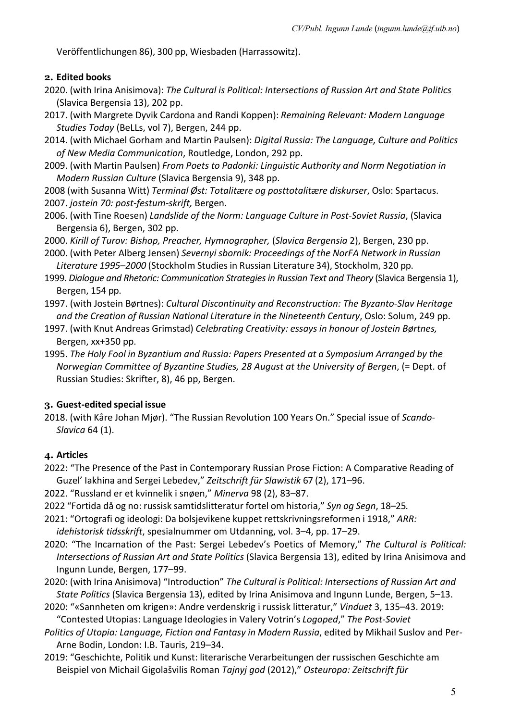Veröffentlichungen 86), 300 pp, Wiesbaden (Harrassowitz).

#### **2. Edited books**

- 2020. (with Irina Anisimova): *The Cultural is Political: Intersections of Russian Art and State Politics*  (Slavica Bergensia 13), 202 pp.
- 2017. (with Margrete Dyvik Cardona and Randi Koppen): *Remaining Relevant: Modern Language Studies Today* (BeLLs, vol 7), Bergen, 244 pp.
- 2014. (with Michael Gorham and Martin Paulsen): *Digital Russia: The Language, Culture and Politics of New Media Communication*, Routledge, London, 292 pp.
- 2009. (with Martin Paulsen) *From Poets to Padonki: Linguistic Authority and Norm Negotiation in Modern Russian Culture* (Slavica Bergensia 9), 348 pp.

2008 (with Susanna Witt) *Terminal Øst: Totalitære og posttotalitære diskurser*, Oslo: Spartacus. 2007. *jostein 70: post-festum-skrift,* Bergen.

- 2006. (with Tine Roesen) *Landslide of the Norm: Language Culture in Post-Soviet Russia*, (Slavica Bergensia 6), Bergen, 302 pp.
- 2000. *Kirill of Turov: Bishop, Preacher, Hymnographer,* (*Slavica Bergensia* 2), Bergen, 230 pp.
- 2000. (with Peter Alberg Jensen) *Severnyi sbornik: Proceedings of the NorFA Network in Russian Literature 1995–2000* (Stockholm Studiesin Russian Literature 34), Stockholm, 320 pp.
- 1999. *Dialogue and Rhetoric: Communication Strategies in Russian Text and Theory* (Slavica Bergensia 1), Bergen, 154 pp.
- 1997. (with Jostein Børtnes): *Cultural Discontinuity and Reconstruction: The Byzanto-Slav Heritage and the Creation of Russian National Literature in the Nineteenth Century*, Oslo: Solum, 249 pp.
- 1997. (with Knut Andreas Grimstad) *Celebrating Creativity: essays in honour of Jostein Børtnes,* Bergen, xx+350 pp.
- 1995. *The Holy Fool in Byzantium and Russia: Papers Presented at a Symposium Arranged by the Norwegian Committee of Byzantine Studies, 28 August at the University of Bergen*, (= Dept. of Russian Studies: Skrifter, 8), 46 pp, Bergen.

#### **3. Guest-edited special issue**

2018. (with Kåre Johan Mjør). "The Russian Revolution 100 Years On." Special issue of *Scando-Slavica* 64 (1).

#### **4. Articles**

- 2022: "The Presence of the Past in Contemporary Russian Prose Fiction: A Comparative Reading of Guzel' Iakhina and Sergei Lebedev," *Zeitschrift für Slawistik* 67 (2), 171–96.
- 2022. "Russland er et kvinnelik i snøen," *Minerva* 98 (2), 83–87.
- 2022 "Fortida då og no: russisk samtidslitteratur fortel om historia," *Syn og Segn*, 18–25*.*
- 2021: "Ortografi og ideologi: Da bolsjevikene kuppet rettskrivningsreformen i 1918," *ARR:*
- *idehistorisk tidsskrift*, spesialnummer om Utdanning, vol. 3–4, pp. 17–29.
- 2020: "The Incarnation of the Past: Sergei Lebedev's Poetics of Memory," *The Cultural is Political: Intersections of Russian Art and State Politics* (Slavica Bergensia 13), edited by Irina Anisimova and Ingunn Lunde, Bergen, 177–99.
- 2020: (with Irina Anisimova) "Introduction" *The Cultural is Political: Intersections of Russian Art and State Politics* (Slavica Bergensia 13), edited by Irina Anisimova and Ingunn Lunde, Bergen, 5–13.
- 2020: "«Sannheten om krigen»: Andre verdenskrig i russisk litteratur," *Vinduet* 3, 135–43. 2019: "Contested Utopias: Language Ideologies in Valery Votrin's *Logoped*," *The Post-Soviet*
- *Politics of Utopia: Language, Fiction and Fantasy in Modern Russia*, edited by Mikhail Suslov and Per-Arne Bodin, London: I.B. Tauris, 219–34.
- 2019: "Geschichte, Politik und Kunst: literarische Verarbeitungen der russischen Geschichte am Beispiel von Michail Gigolašvilis Roman *Tajnyj god* (2012)," *Osteuropa: Zeitschrift für*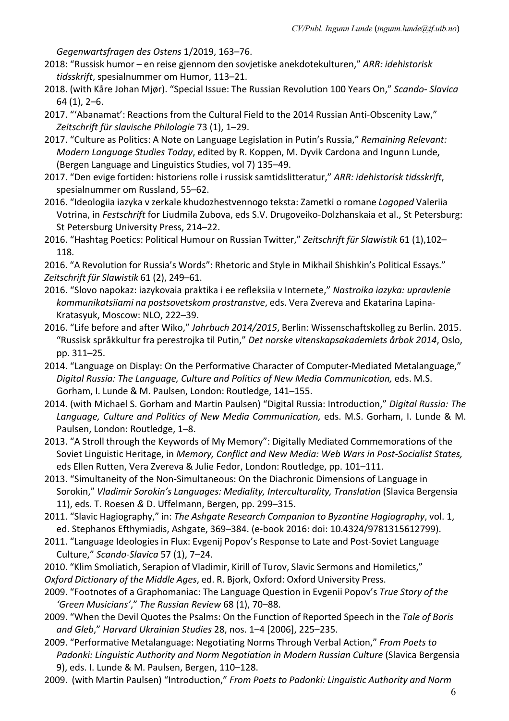*Gegenwartsfragen des Ostens* 1/2019, 163–76.

- 2018: "Russisk humor en reise gjennom den sovjetiske anekdotekulturen," *ARR: idehistorisk tidsskrift*, spesialnummer om Humor, 113–21.
- 2018. (with Kåre Johan Mjør). "Special Issue: The Russian Revolution 100 Years On," *Scando- Slavica*  64 (1), 2–6.
- 2017. "'Abanamat': Reactions from the Cultural Field to the 2014 Russian Anti-Obscenity Law," *Zeitschrift für slavische Philologie* 73 (1), 1–29.
- 2017. "Culture as Politics: A Note on Language Legislation in Putin's Russia," *Remaining Relevant: Modern Language Studies Today*, edited by R. Koppen, M. Dyvik Cardona and Ingunn Lunde, (Bergen Language and Linguistics Studies, vol 7) 135–49.
- 2017. "Den evige fortiden: historiens rolle i russisk samtidslitteratur," *ARR: idehistorisk tidsskrift*, spesialnummer om Russland, 55–62.
- 2016. "Ideologiia iazyka v zerkale khudozhestvennogo teksta: Zametki o romane *Logoped* Valeriia Votrina, in *Festschrift* for Liudmila Zubova, eds S.V. Drugoveiko-Dolzhanskaia et al., St Petersburg: St Petersburg University Press, 214–22.
- 2016. "Hashtag Poetics: Political Humour on Russian Twitter," *Zeitschrift für Slawistik* 61 (1),102– 118.

2016. "A Revolution for Russia's Words": Rhetoric and Style in Mikhail Shishkin's Political Essays." *Zeitschrift für Slawistik* 61 (2), 249–61.

- 2016. "Slovo napokaz: iazykovaia praktika i ee refleksiia v Internete," *Nastroika iazyka: upravlenie kommunikatsiiami na postsovetskom prostranstve*, eds. Vera Zvereva and Ekatarina Lapina-Kratasyuk, Moscow: NLO, 222–39.
- 2016. "Life before and after Wiko," *Jahrbuch 2014/2015*, Berlin: Wissenschaftskolleg zu Berlin. 2015. "Russisk språkkultur fra perestrojka til Putin," *Det norske vitenskapsakademiets årbok 2014*, Oslo, pp. 311–25.
- 2014. "Language on Display: On the Performative Character of Computer-Mediated Metalanguage," *Digital Russia: The Language, Culture and Politics of New Media Communication,* eds. M.S. Gorham, I. Lunde & M. Paulsen, London: Routledge, 141–155.
- 2014. (with Michael S. Gorham and Martin Paulsen) "Digital Russia: Introduction," *Digital Russia: The Language, Culture and Politics of New Media Communication,* eds. M.S. Gorham, I. Lunde & M. Paulsen, London: Routledge, 1–8.
- 2013. "A Stroll through the Keywords of My Memory": Digitally Mediated Commemorations of the Soviet Linguistic Heritage, in *Memory, Conflict and New Media: Web Wars in Post-Socialist States,*  eds Ellen Rutten, Vera Zvereva & Julie Fedor, London: Routledge, pp. 101–111.
- 2013. "Simultaneity of the Non-Simultaneous: On the Diachronic Dimensions of Language in Sorokin," *Vladimir Sorokin's Languages: Mediality, Interculturality, Translation* (Slavica Bergensia 11), eds. T. Roesen *&* D. Uffelmann, Bergen, pp. 299–315.
- 2011. "Slavic Hagiography," in: *The Ashgate Research Companion to Byzantine Hagiography*, vol. 1, ed. Stephanos Efthymiadis, Ashgate, 369–384. (e-book 2016: doi: 10.4324/9781315612799).
- 2011. "Language Ideologies in Flux: Evgenij Popov's Response to Late and Post-Soviet Language Culture," *Scando-Slavica* 57 (1), 7–24.
- 2010. "Klim Smoliatich, Serapion of Vladimir, Kirill of Turov, Slavic Sermons and Homiletics," *Oxford Dictionary of the Middle Ages*, ed. R. Bjork, Oxford: Oxford University Press.
- 2009. "Footnotes of a Graphomaniac: The Language Question in Evgenii Popov's *True Story of the 'Green Musicians'*," *The Russian Review* 68 (1), 70–88.
- 2009. "When the Devil Quotes the Psalms: On the Function of Reported Speech in the *Tale of Boris and Gleb*," *Harvard Ukrainian Studies* 28, nos. 1–4 [2006], 225–235.
- 2009. "Performative Metalanguage: Negotiating Norms Through Verbal Action," *From Poets to*  Padonki: Linguistic Authority and Norm Negotiation in Modern Russian Culture (Slavica Bergensia 9), eds. I. Lunde & M. Paulsen, Bergen, 110–128.
- 2009. (with Martin Paulsen) "Introduction," *From Poets to Padonki: Linguistic Authority and Norm*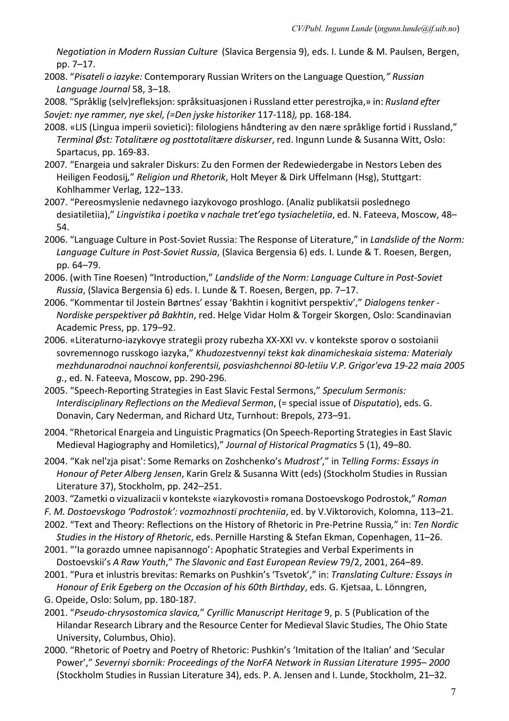*Negotiation in Modern Russian Culture* (Slavica Bergensia 9), eds. I. Lunde & M. Paulsen, Bergen, pp. 7–17.

2008. "*Pisateli o iazyke:* Contemporary Russian Writers on the Language Question*," Russian Language Journal* 58, 3–18*.*

2008*.* "Språklig (selv)refleksjon: språksituasjonen i Russland etter perestrojka,» in: *Rusland efter Sovjet: nye rammer, nye skel, (=Den jyske historiker* 117-118*),* pp. 168-184.

- 2008. «LIS (Lingua imperii sovietici): filologiens håndtering av den nære språklige fortid i Russland," *Terminal Øst: Totalitære og posttotalitære diskurser*, red. Ingunn Lunde & Susanna Witt, Oslo: Spartacus, pp. 169-83.
- 2007*.* "Enargeia und sakraler Diskurs: Zu den Formen der Redewiedergabe in Nestors Leben des Heiligen Feodosij*,*" *Religion und Rhetorik*, Holt Meyer & Dirk Uffelmann (Hsg), Stuttgart: Kohlhammer Verlag, 122–133.
- 2007. "Pereosmyslenie nedavnego iazykovogo proshlogo. (Analiz publikatsii poslednego desiatiletiia)," *Lingvistika i poetika v nachale tret'ego tysiacheletiia*, ed. N. Fateeva, Moscow, 48– 54.
- 2006. "Language Culture in Post-Soviet Russia: The Response of Literature," in *Landslide of the Norm: Language Culture in Post-Soviet Russia*, (Slavica Bergensia 6) eds. I. Lunde & T. Roesen, Bergen, pp. 64–79.
- 2006. (with Tine Roesen) "Introduction," *Landslide of the Norm: Language Culture in Post-Soviet Russia*, (Slavica Bergensia 6) eds. I. Lunde & T. Roesen, Bergen, pp. 7–17.
- 2006. "Kommentar til Jostein Børtnes' essay 'Bakhtin i kognitivt perspektiv'," *Dialogens tenker - Nordiske perspektiver på Bakhtin*, red. Helge Vidar Holm & Torgeir Skorgen, Oslo: Scandinavian Academic Press, pp. 179–92.
- 2006. «Literaturno-iazykovye strategii prozy rubezha XX-XXI vv. v kontekste sporov o sostoianii sovremennogo russkogo iazyka," *Khudozestvennyi tekst kak dinamicheskaia sistema: Materialy mezhdunarodnoi nauchnoi konferentsii, posviashchennoi 80-letiiu V.P. Grigor'eva 19-22 maia 2005 g.*, ed. N. Fateeva, Moscow, pp. 290-296.
- 2005. "Speech-Reporting Strategies in East Slavic Festal Sermons," *Speculum Sermonis: Interdisciplinary Reflections on the Medieval Sermon*, (= special issue of *Disputatio*), eds. G. Donavin, Cary Nederman, and Richard Utz, Turnhout: Brepols, 273–91.
- 2004. "Rhetorical Enargeia and Linguistic Pragmatics(On Speech-Reporting Strategiesin East Slavic Medieval Hagiography and Homiletics)," *Journal of Historical Pragmatics* 5 (1), 49–80.
- 2004. "Kak nel'zja pisat': Some Remarks on Zoshchenko's *Mudrost'*," in *Telling Forms: Essays in Honour of Peter Alberg Jensen*, Karin Grelz & Susanna Witt (eds) (Stockholm Studies in Russian Literature 37), Stockholm, pp. 242–251.
- 2003. "Zametki o vizualizacii v kontekste «iazykovosti» romana Dostoevskogo Podrostok," *Roman F. M. Dostoevskogo 'Podrostok': vozmozhnosti prochteniia*, ed. by V.Viktorovich, Kolomna, 113–21.
- 2002. "Text and Theory: Reflections on the History of Rhetoric in Pre-Petrine Russia*,*" in: *Ten Nordic Studies in the History of Rhetoric*, eds. Pernille Harsting & Stefan Ekman, Copenhagen, 11–26.
- 2001. "'Ia gorazdo umnee napisannogo': Apophatic Strategies and Verbal Experiments in Dostoevskii's *A Raw Youth*," *The Slavonic and East European Review* 79/2, 2001, 264–89.
- 2001. "Pura et inlustris brevitas: Remarks on Pushkin's 'Tsvetok'," in: *Translating Culture: Essays in Honour of Erik Egeberg on the Occasion of his 60th Birthday*, eds. G. Kjetsaa, L. Lönngren,
- G. Opeide, Oslo: Solum, pp. 180-187.
- 2001. "*Pseudo-chrysostomica slavica,*" *Cyrillic Manuscript Heritage* 9, p. 5 (Publication of the Hilandar Research Library and the Resource Center for Medieval Slavic Studies, The Ohio State University, Columbus, Ohio).
- 2000. "Rhetoric of Poetry and Poetry of Rhetoric: Pushkin's 'Imitation of the Italian' and 'Secular Power'," *Severnyi sbornik: Proceedings of the NorFA Network in Russian Literature 1995– 2000* (Stockholm Studies in Russian Literature 34), eds. P. A. Jensen and I. Lunde, Stockholm, 21–32.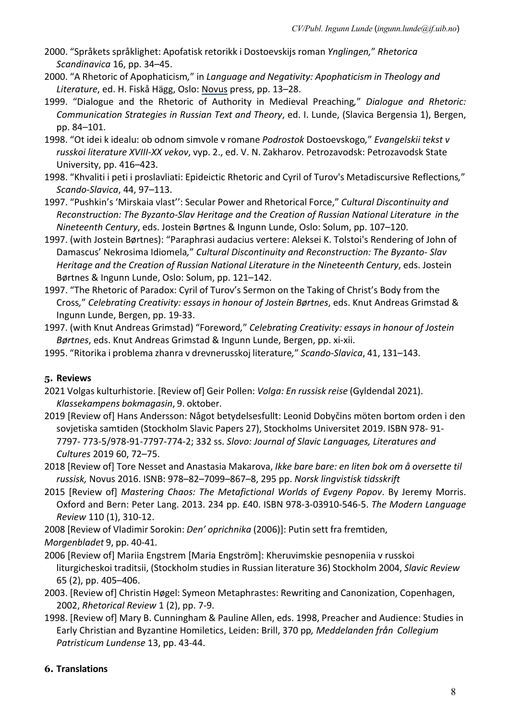- 2000. "Språkets språklighet: Apofatisk retorikk i Dostoevskijs roman *Ynglingen,*" *Rhetorica Scandinavica* 16, pp. 34–45.
- 2000. "A Rhetoric of Apophaticism*,*" in *Language and Negativity: Apophaticism in Theology and Literature*, ed. H. Fiskå Hägg, Oslo: Novus press, pp. 13–28.
- 1999. "Dialogue and the Rhetoric of Authority in Medieval Preaching*,*" *Dialogue and Rhetoric: Communication Strategies in Russian Text and Theory*, ed. I. Lunde, (Slavica Bergensia 1), Bergen, pp. 84–101.
- 1998. "Ot idei k idealu: ob odnom simvole v romane *Podrostok* Dostoevskogo*,*" *Evangelskii tekst v russkoi literature XVIII-XX vekov*, vyp. 2., ed. V. N. Zakharov. Petrozavodsk: Petrozavodsk State University, pp. 416–423.
- 1998. "Khvaliti i peti i proslavliati: Epideictic Rhetoric and Cyril of Turov's Metadiscursive Reflections*,*" *Scando-Slavica*, 44, 97–113.
- 1997. "Pushkin's 'Mirskaia vlast'': Secular Power and Rhetorical Force," *Cultural Discontinuity and Reconstruction: The Byzanto-Slav Heritage and the Creation of Russian National Literature in the Nineteenth Century*, eds. Jostein Børtnes & Ingunn Lunde, Oslo: Solum, pp. 107–120.
- 1997. (with Jostein Børtnes): "Paraphrasi audacius vertere: Aleksei K. Tolstoi's Rendering of John of Damascus' Nekrosima Idiomela*,*" *Cultural Discontinuity and Reconstruction: The Byzanto- Slav Heritage and the Creation of Russian National Literature in the Nineteenth Century*, eds. Jostein Børtnes & Ingunn Lunde, Oslo: Solum, pp. 121–142.
- 1997. "The Rhetoric of Paradox: Cyril of Turov's Sermon on the Taking of Christ's Body from the Cross*,*" *Celebrating Creativity: essays in honour of Jostein Børtnes*, eds. Knut Andreas Grimstad & Ingunn Lunde, Bergen, pp. 19-33.
- 1997. (with Knut Andreas Grimstad) "Foreword*,*" *Celebrating Creativity: essays in honour of Jostein Børtnes*, eds. Knut Andreas Grimstad & Ingunn Lunde, Bergen, pp. xi-xii.
- 1995. "Ritorika i problema zhanra v drevnerusskoj literature*,*" *Scando-Slavica*, 41, 131–143.

### **5. Reviews**

- 2021 Volgas kulturhistorie. [Review of] Geir Pollen: *Volga: En russisk reise* (Gyldendal 2021). *Klassekampens bokmagasin*, 9. oktober.
- 2019 [Review of] Hans Andersson: Något betydelsesfullt: Leonid Dobyčins möten bortom orden i den sovjetiska samtiden (Stockholm Slavic Papers 27), Stockholms Universitet 2019. ISBN 978- 91- 7797- 773-5/978-91-7797-774-2; 332 ss. *Slovo: Journal of Slavic Languages, Literatures and Cultures* 2019 60, 72–75.
- 2018 [Review of] Tore Nesset and Anastasia Makarova, *Ikke bare bare: en liten bok om å oversette til russisk,* Novus 2016. ISNB: 978–82–7099–867–8, 295 pp. *Norsk lingvistisk tidsskrift*
- 2015 [Review of] *Mastering Chaos: The Metafictional Worlds of Evgeny Popov*. By Jeremy Morris. Oxford and Bern: Peter Lang. 2013. 234 pp. £40. ISBN 978-3-03910-546-5. *The Modern Language Review* 110 (1), 310-12.
- 2008 [Review of Vladimir Sorokin: *Den' oprichnika* (2006)]: Putin sett fra fremtiden,
- *Morgenbladet* 9, pp. 40-41.
- 2006 [Review of] Mariia Engstrem [Maria Engström]: Kheruvimskie pesnopeniia v russkoi liturgicheskoi traditsii, (Stockholm studies in Russian literature 36) Stockholm 2004, *Slavic Review*  65 (2), pp. 405–406.
- 2003. [Review of] Christin Høgel: Symeon Metaphrastes: Rewriting and Canonization, Copenhagen, 2002, *Rhetorical Review* 1 (2), pp. 7-9.
- 1998. [Review of] Mary B. Cunningham & Pauline Allen, eds. 1998, Preacher and Audience: Studies in Early Christian and Byzantine Homiletics, Leiden: Brill, 370 pp*, Meddelanden från Collegium Patristicum Lundense* 13, pp. 43-44.

### **6. Translations**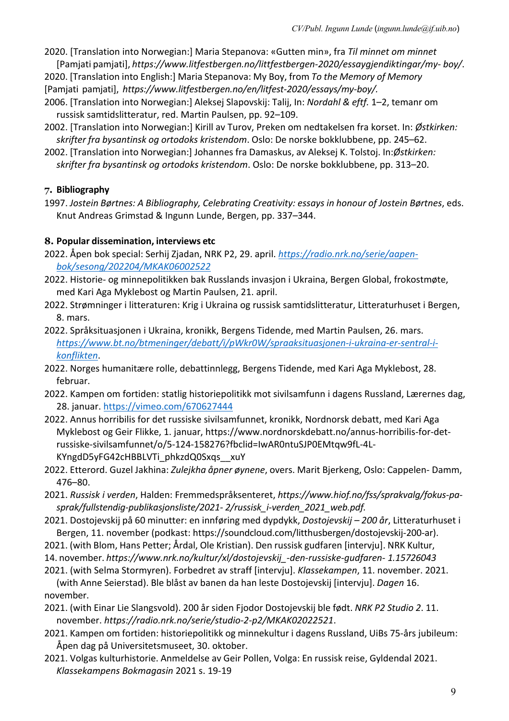- 2020. [Translation into Norwegian:] Maria Stepanova: «Gutten min», fra *Til minnet om minnet*  [Pamjati pamjati], *https://www.litfestbergen.no/littfestbergen-2020/essaygjendiktingar/my- boy/*.
- 2020. [Translation into English:] Maria Stepanova: My Boy, from *To the Memory of Memory* [Pamjati pamjati], *https://www.litfestbergen.no/en/litfest-2020/essays/my-boy/.*
- 2006. [Translation into Norwegian:] Aleksej Slapovskij: Talij, In: *Nordahl & eftf.* 1–2, temanr om russisk samtidslitteratur, red. Martin Paulsen, pp. 92–109.
- 2002. [Translation into Norwegian:] Kirill av Turov, Preken om nedtakelsen fra korset. In: *Østkirken: skrifter fra bysantinsk og ortodoks kristendom*. Oslo: De norske bokklubbene, pp. 245–62.
- 2002. [Translation into Norwegian:] Johannes fra Damaskus, av Aleksej K. Tolstoj. In:*Østkirken: skrifter fra bysantinsk og ortodoks kristendom*. Oslo: De norske bokklubbene, pp. 313–20.

# **7. Bibliography**

1997. *Jostein Børtnes: A Bibliography, Celebrating Creativity: essays in honour of Jostein Børtnes*, eds. Knut Andreas Grimstad & Ingunn Lunde, Bergen, pp. 337–344.

# **8. Popular dissemination, interviews etc**

- 2022. Åpen bok special: Serhij Zjadan, NRK P2, 29. april. *https://radio.nrk.no/serie/aapenbok/sesong/202204/MKAK06002522*
- 2022. Historie- og minnepolitikken bak Russlands invasjon i Ukraina, Bergen Global, frokostmøte, med Kari Aga Myklebost og Martin Paulsen, 21. april.
- 2022. Strømninger i litteraturen: Krig i Ukraina og russisk samtidslitteratur, Litteraturhuset i Bergen, 8. mars.
- 2022. Språksituasjonen i Ukraina, kronikk, Bergens Tidende, med Martin Paulsen, 26. mars. *https://www.bt.no/btmeninger/debatt/i/pWkr0W/spraaksituasjonen-i-ukraina-er-sentral-ikonflikten*.
- 2022. Norges humanitære rolle, debattinnlegg, Bergens Tidende, med Kari Aga Myklebost, 28. februar.
- 2022. Kampen om fortiden: statlig historiepolitikk mot sivilsamfunn i dagens Russland, Lærernes dag, 28. januar. https://vimeo.com/670627444
- 2022. Annus horribilis for det russiske sivilsamfunnet, kronikk, Nordnorsk debatt, med Kari Aga Myklebost og Geir Flikke, 1. januar, https://www.nordnorskdebatt.no/annus-horribilis-for-detrussiske-sivilsamfunnet/o/5-124-158276?fbclid=IwAR0ntuSJP0EMtqw9fL-4L-KYngdD5yFG42cHBBLVTi\_phkzdQ0Sxqs\_\_xuY
- 2022. Etterord. Guzel Jakhina: *Zulejkha åpner øynene*, overs. Marit Bjerkeng, Oslo: Cappelen- Damm, 476–80.
- 2021. *Russisk i verden*, Halden: Fremmedspråksenteret, *https://www.hiof.no/fss/sprakvalg/fokus-pasprak/fullstendig-publikasjonsliste/2021- 2/russisk\_i-verden\_2021\_web.pdf.*
- 2021. Dostojevskij på 60 minutter: en innføring med dypdykk, *Dostojevskij – 200 år*, Litteraturhuset i Bergen, 11. november (podkast: https://soundcloud.com/litthusbergen/dostojevskij-200-ar).
- 2021. (with Blom, Hans Petter; Årdal, Ole Kristian). Den russisk gudfaren [intervju]. NRK Kultur,
- 14. november. *https://www.nrk.no/kultur/xl/dostojevskij\_-den-russiske-gudfaren- 1.15726043*
- 2021. (with Selma Stormyren). Forbedret av straff [intervju]. *Klassekampen*, 11. november. 2021. (with Anne Seierstad). Ble blåst av banen da han leste Dostojevskij [intervju]. *Dagen* 16.
- november. 2021. (with Einar Lie Slangsvold). 200 år siden Fjodor Dostojevskij ble født. *NRK P2 Studio 2*. 11. november. *https://radio.nrk.no/serie/studio-2-p2/MKAK02022521*.
- 2021. Kampen om fortiden: historiepolitikk og minnekultur i dagens Russland, UiBs 75-års jubileum: Åpen dag på Universitetsmuseet, 30. oktober.
- 2021. Volgas kulturhistorie. Anmeldelse av Geir Pollen, Volga: En russisk reise, Gyldendal 2021. *Klassekampens Bokmagasin* 2021 s. 19-19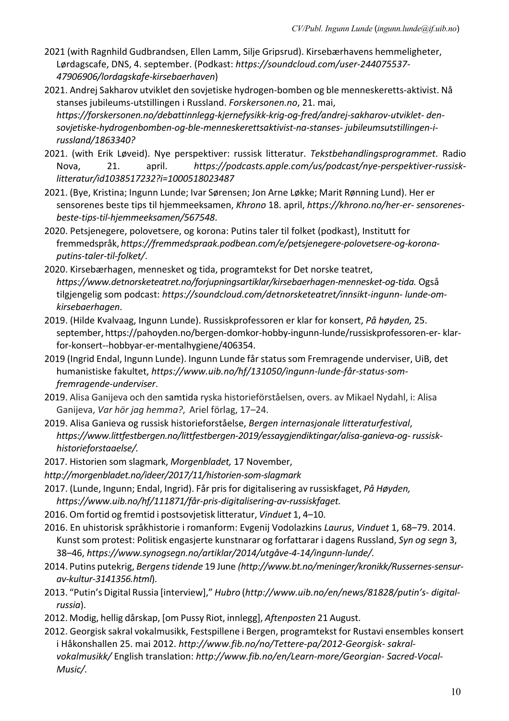- 2021 (with Ragnhild Gudbrandsen, Ellen Lamm, Silje Gripsrud). Kirsebærhavens hemmeligheter, Lørdagscafe, DNS, 4. september. (Podkast: *https://soundcloud.com/user-244075537- 47906906/lordagskafe-kirsebaerhaven*)
- 2021. Andrej Sakharov utviklet den sovjetiske hydrogen-bomben og ble menneskeretts-aktivist. Nå stanses jubileums-utstillingen i Russland. *Forskersonen.no*, 21. mai, *https://forskersonen.no/debattinnlegg-kjernefysikk-krig-og-fred/andrej-sakharov-utviklet- densovjetiske-hydrogenbomben-og-ble-menneskerettsaktivist-na-stanses- jubileumsutstillingen-irussland/1863340?*
- 2021. (with Erik Løveid). Nye perspektiver: russisk litteratur. *Tekstbehandlingsprogrammet*. Radio Nova, 21. april. *https://podcasts.apple.com/us/podcast/nye-perspektiver-russisklitteratur/id1038517232?i=1000518023487*
- 2021. (Bye, Kristina; Ingunn Lunde; Ivar Sørensen; Jon Arne Løkke; Marit Rønning Lund). Her er sensorenes beste tips til hjemmeeksamen, *Khrono* 18. april, *https://khrono.no/her-er- sensorenesbeste-tips-til-hjemmeeksamen/567548*.
- 2020. Petsjenegere, polovetsere, og korona: Putins taler til folket (podkast), Institutt for fremmedspråk, *https://fremmedspraak.podbean.com/e/petsjenegere-polovetsere-og-koronaputins-taler-til-folket/*.
- 2020. Kirsebærhagen, mennesket og tida, programtekst for Det norske teatret, *https://www.detnorsketeatret.no/forjupningsartiklar/kirsebaerhagen-mennesket-og-tida.* Også tilgjengelig som podcast: *https://soundcloud.com/detnorsketeatret/innsikt-ingunn- lunde-omkirsebaerhagen*.
- 2019. (Hilde Kvalvaag, Ingunn Lunde). Russiskprofessoren er klar for konsert, *På høyden,* 25. september, https://pahoyden.no/bergen-domkor-hobby-ingunn-lunde/russiskprofessoren-er- klarfor-konsert--hobbyar-er-mentalhygiene/406354.
- 2019 (Ingrid Endal, Ingunn Lunde). Ingunn Lunde får status som Fremragende underviser, UiB, det humanistiske fakultet, *https://www.uib.no/hf/131050/ingunn-lunde-får-status-somfremragende-underviser*.
- 2019. Alisa Ganijeva och den samtida ryska historieförståelsen, overs. av Mikael Nydahl, i: Alisa Ganijeva, *Var hör jag hemma?*, Ariel förlag, 17–24.
- 2019. Alisa Ganieva og russisk historieforståelse, *Bergen internasjonale litteraturfestival*, *https://www.littfestbergen.no/littfestbergen-2019/essaygjendiktingar/alisa-ganieva-og- russiskhistorieforstaaelse/.*
- 2017. Historien som slagmark, *Morgenbladet,* 17 November,
- *http://morgenbladet.no/ideer/2017/11/historien-som-slagmark*
- 2017. (Lunde, Ingunn; Endal, Ingrid). Får prisfor digitalisering av russiskfaget, *På Høyden, https://www.uib.no/hf/111871/får-pris-digitalisering-av-russiskfaget.*
- 2016. Om fortid og fremtid i postsovjetisk litteratur, *Vinduet* 1, 4–10.
- 2016. En uhistorisk språkhistorie i romanform: Evgenij Vodolazkins *Laurus*, *Vinduet* 1, 68–79. 2014. Kunst som protest: Politisk engasjerte kunstnarar og forfattarar i dagens Russland, *Syn og segn* 3, 38–46, *https://www.synogsegn.no/artiklar/2014/utgåve-4-14/ingunn-lunde/.*
- 2014. Putins putekrig, *Bergenstidende* 19 June *(http://www.bt.no/meninger/kronikk/Russernes-sensurav-kultur-3141356.html*).
- 2013. "Putin's Digital Russia [interview]," *Hubro* (*http://www.uib.no/en/news/81828/putin's- digitalrussia*).
- 2012. Modig, hellig dårskap, [om Pussy Riot, innlegg], *Aftenposten* 21 August.
- 2012. Georgisk sakral vokalmusikk, Festspillene i Bergen, programtekst for Rustavi ensembles konsert i Håkonshallen 25. mai 2012. *http://www.fib.no/no/Tettere-pa/2012-Georgisk- sakralvokalmusikk/* English translation: *http://www.fib.no/en/Learn-more/Georgian- Sacred-Vocal-Music/.*